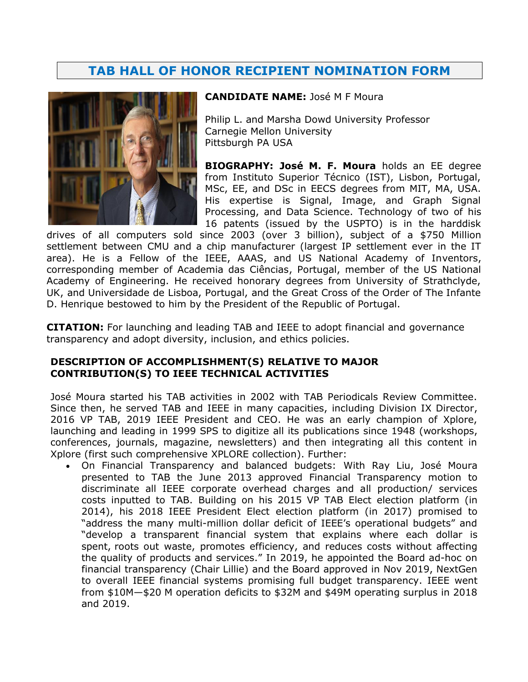# **TAB HALL OF HONOR RECIPIENT NOMINATION FORM**



#### **CANDIDATE NAME:** José M F Moura

Philip L. and Marsha Dowd University Professor Carnegie Mellon University Pittsburgh PA USA

**BIOGRAPHY: José M. F. Moura** holds an EE degree from Instituto Superior Técnico (IST), Lisbon, Portugal, MSc, EE, and DSc in EECS degrees from MIT, MA, USA. His expertise is Signal, Image, and Graph Signal Processing, and Data Science. Technology of two of his 16 patents (issued by the USPTO) is in the harddisk

drives of all computers sold since 2003 (over 3 billion), subject of a \$750 Million settlement between CMU and a chip manufacturer (largest IP settlement ever in the IT area). He is a Fellow of the IEEE, AAAS, and US National Academy of Inventors, corresponding member of Academia das Ciências, Portugal, member of the US National Academy of Engineering. He received honorary degrees from University of Strathclyde, UK, and Universidade de Lisboa, Portugal, and the Great Cross of the Order of The Infante D. Henrique bestowed to him by the President of the Republic of Portugal.

**CITATION:** For launching and leading TAB and IEEE to adopt financial and governance transparency and adopt diversity, inclusion, and ethics policies.

### **DESCRIPTION OF ACCOMPLISHMENT(S) RELATIVE TO MAJOR CONTRIBUTION(S) TO IEEE TECHNICAL ACTIVITIES**

José Moura started his TAB activities in 2002 with TAB Periodicals Review Committee. Since then, he served TAB and IEEE in many capacities, including Division IX Director, 2016 VP TAB, 2019 IEEE President and CEO. He was an early champion of Xplore, launching and leading in 1999 SPS to digitize all its publications since 1948 (workshops, conferences, journals, magazine, newsletters) and then integrating all this content in Xplore (first such comprehensive XPLORE collection). Further:

• On Financial Transparency and balanced budgets: With Ray Liu, José Moura presented to TAB the June 2013 approved Financial Transparency motion to discriminate all IEEE corporate overhead charges and all production/ services costs inputted to TAB. Building on his 2015 VP TAB Elect election platform (in 2014), his 2018 IEEE President Elect election platform (in 2017) promised to "address the many multi-million dollar deficit of IEEE's operational budgets" and "develop a transparent financial system that explains where each dollar is spent, roots out waste, promotes efficiency, and reduces costs without affecting the quality of products and services." In 2019, he appointed the Board ad-hoc on financial transparency (Chair Lillie) and the Board approved in Nov 2019, NextGen to overall IEEE financial systems promising full budget transparency. IEEE went from \$10M—\$20 M operation deficits to \$32M and \$49M operating surplus in 2018 and 2019.